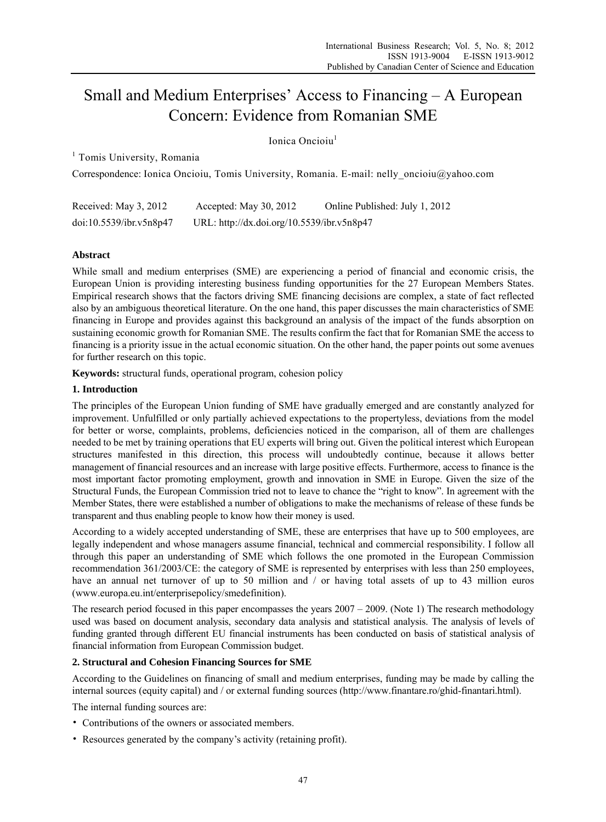# Small and Medium Enterprises' Access to Financing – A European Concern: Evidence from Romanian SME

# Ionica Oncioiu<sup>1</sup>

<sup>1</sup> Tomis University, Romania

Correspondence: Ionica Oncioiu, Tomis University, Romania. E-mail: nelly\_oncioiu@yahoo.com

| Received: May 3, 2012   | Accepted: May 30, 2012                     | Online Published: July 1, 2012 |
|-------------------------|--------------------------------------------|--------------------------------|
| doi:10.5539/ibr.v5n8p47 | URL: http://dx.doi.org/10.5539/ibr.v5n8p47 |                                |

# **Abstract**

While small and medium enterprises (SME) are experiencing a period of financial and economic crisis, the European Union is providing interesting business funding opportunities for the 27 European Members States. Empirical research shows that the factors driving SME financing decisions are complex, a state of fact reflected also by an ambiguous theoretical literature. On the one hand, this paper discusses the main characteristics of SME financing in Europe and provides against this background an analysis of the impact of the funds absorption on sustaining economic growth for Romanian SME. The results confirm the fact that for Romanian SME the access to financing is a priority issue in the actual economic situation. On the other hand, the paper points out some avenues for further research on this topic.

**Keywords:** structural funds, operational program, cohesion policy

## **1. Introduction**

The principles of the European Union funding of SME have gradually emerged and are constantly analyzed for improvement. Unfulfilled or only partially achieved expectations to the propertyless, deviations from the model for better or worse, complaints, problems, deficiencies noticed in the comparison, all of them are challenges needed to be met by training operations that EU experts will bring out. Given the political interest which European structures manifested in this direction, this process will undoubtedly continue, because it allows better management of financial resources and an increase with large positive effects. Furthermore, access to finance is the most important factor promoting employment, growth and innovation in SME in Europe. Given the size of the Structural Funds, the European Commission tried not to leave to chance the "right to know". In agreement with the Member States, there were established a number of obligations to make the mechanisms of release of these funds be transparent and thus enabling people to know how their money is used.

According to a widely accepted understanding of SME, these are enterprises that have up to 500 employees, are legally independent and whose managers assume financial, technical and commercial responsibility. I follow all through this paper an understanding of SME which follows the one promoted in the European Commission recommendation 361/2003/CE: the category of SME is represented by enterprises with less than 250 employees, have an annual net turnover of up to 50 million and / or having total assets of up to 43 million euros (www.europa.eu.int/enterprisepolicy/smedefinition).

The research period focused in this paper encompasses the years  $2007 - 2009$ . (Note 1) The research methodology used was based on document analysis, secondary data analysis and statistical analysis. The analysis of levels of funding granted through different EU financial instruments has been conducted on basis of statistical analysis of financial information from European Commission budget.

#### **2. Structural and Cohesion Financing Sources for SME**

According to the Guidelines on financing of small and medium enterprises, funding may be made by calling the internal sources (equity capital) and / or external funding sources (http://www.finantare.ro/ghid-finantari.html).

The internal funding sources are:

- Contributions of the owners or associated members.
- Resources generated by the company's activity (retaining profit).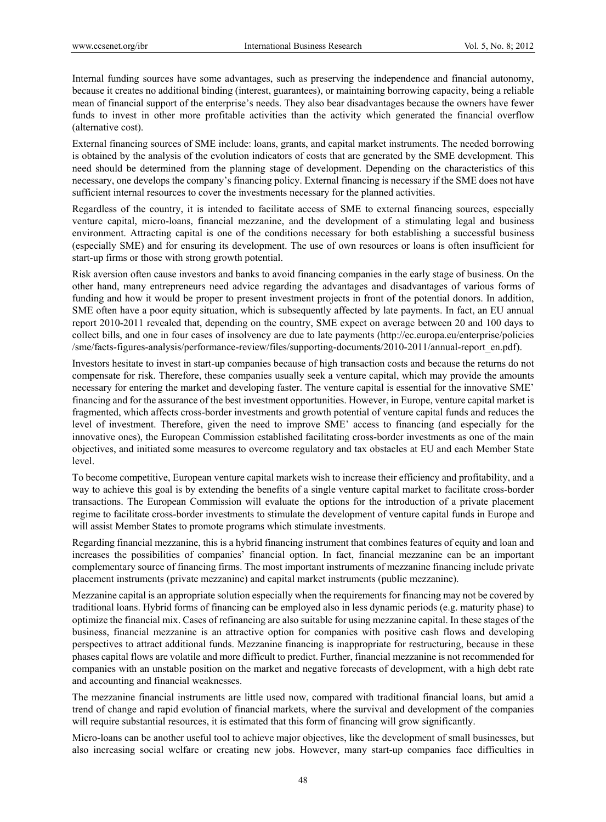Internal funding sources have some advantages, such as preserving the independence and financial autonomy, because it creates no additional binding (interest, guarantees), or maintaining borrowing capacity, being a reliable mean of financial support of the enterprise's needs. They also bear disadvantages because the owners have fewer funds to invest in other more profitable activities than the activity which generated the financial overflow (alternative cost).

External financing sources of SME include: loans, grants, and capital market instruments. The needed borrowing is obtained by the analysis of the evolution indicators of costs that are generated by the SME development. This need should be determined from the planning stage of development. Depending on the characteristics of this necessary, one develops the company's financing policy. External financing is necessary if the SME does not have sufficient internal resources to cover the investments necessary for the planned activities.

Regardless of the country, it is intended to facilitate access of SME to external financing sources, especially venture capital, micro-loans, financial mezzanine, and the development of a stimulating legal and business environment. Attracting capital is one of the conditions necessary for both establishing a successful business (especially SME) and for ensuring its development. The use of own resources or loans is often insufficient for start-up firms or those with strong growth potential.

Risk aversion often cause investors and banks to avoid financing companies in the early stage of business. On the other hand, many entrepreneurs need advice regarding the advantages and disadvantages of various forms of funding and how it would be proper to present investment projects in front of the potential donors. In addition, SME often have a poor equity situation, which is subsequently affected by late payments. In fact, an EU annual report 2010-2011 revealed that, depending on the country, SME expect on average between 20 and 100 days to collect bills, and one in four cases of insolvency are due to late payments (http://ec.europa.eu/enterprise/policies /sme/facts-figures-analysis/performance-review/files/supporting-documents/2010-2011/annual-report\_en.pdf).

Investors hesitate to invest in start-up companies because of high transaction costs and because the returns do not compensate for risk. Therefore, these companies usually seek a venture capital, which may provide the amounts necessary for entering the market and developing faster. The venture capital is essential for the innovative SME' financing and for the assurance of the best investment opportunities. However, in Europe, venture capital market is fragmented, which affects cross-border investments and growth potential of venture capital funds and reduces the level of investment. Therefore, given the need to improve SME' access to financing (and especially for the innovative ones), the European Commission established facilitating cross-border investments as one of the main objectives, and initiated some measures to overcome regulatory and tax obstacles at EU and each Member State level.

To become competitive, European venture capital markets wish to increase their efficiency and profitability, and a way to achieve this goal is by extending the benefits of a single venture capital market to facilitate cross-border transactions. The European Commission will evaluate the options for the introduction of a private placement regime to facilitate cross-border investments to stimulate the development of venture capital funds in Europe and will assist Member States to promote programs which stimulate investments.

Regarding financial mezzanine, this is a hybrid financing instrument that combines features of equity and loan and increases the possibilities of companies' financial option. In fact, financial mezzanine can be an important complementary source of financing firms. The most important instruments of mezzanine financing include private placement instruments (private mezzanine) and capital market instruments (public mezzanine).

Mezzanine capital is an appropriate solution especially when the requirements for financing may not be covered by traditional loans. Hybrid forms of financing can be employed also in less dynamic periods (e.g. maturity phase) to optimize the financial mix. Cases of refinancing are also suitable for using mezzanine capital. In these stages of the business, financial mezzanine is an attractive option for companies with positive cash flows and developing perspectives to attract additional funds. Mezzanine financing is inappropriate for restructuring, because in these phases capital flows are volatile and more difficult to predict. Further, financial mezzanine is not recommended for companies with an unstable position on the market and negative forecasts of development, with a high debt rate and accounting and financial weaknesses.

The mezzanine financial instruments are little used now, compared with traditional financial loans, but amid a trend of change and rapid evolution of financial markets, where the survival and development of the companies will require substantial resources, it is estimated that this form of financing will grow significantly.

Micro-loans can be another useful tool to achieve major objectives, like the development of small businesses, but also increasing social welfare or creating new jobs. However, many start-up companies face difficulties in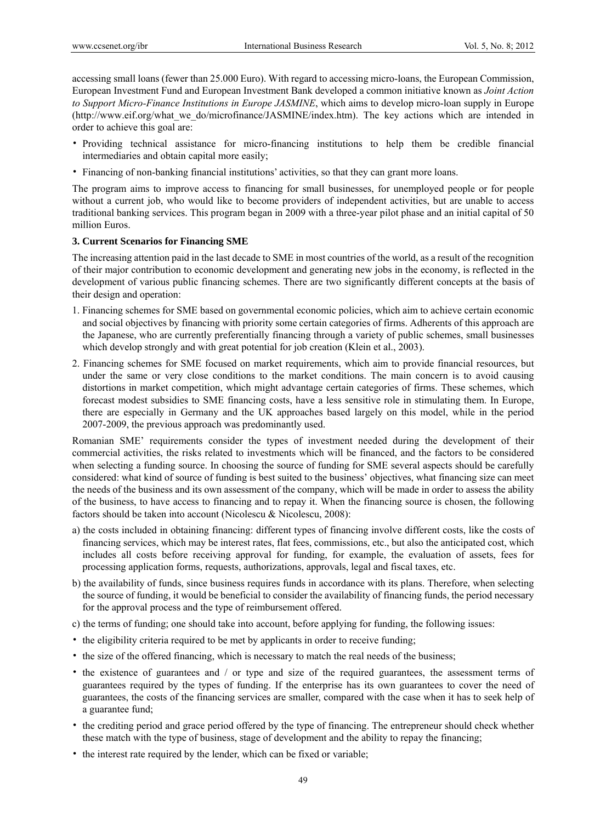accessing small loans (fewer than 25.000 Euro). With regard to accessing micro-loans, the European Commission, European Investment Fund and European Investment Bank developed a common initiative known as *Joint Action to Support Micro-Finance Institutions in Europe JASMINE*, which aims to develop micro-loan supply in Europe (http://www.eif.org/what\_we\_do/microfinance/JASMINE/index.htm). The key actions which are intended in order to achieve this goal are:

- Providing technical assistance for micro-financing institutions to help them be credible financial intermediaries and obtain capital more easily;
- Financing of non-banking financial institutions' activities, so that they can grant more loans.

The program aims to improve access to financing for small businesses, for unemployed people or for people without a current job, who would like to become providers of independent activities, but are unable to access traditional banking services. This program began in 2009 with a three-year pilot phase and an initial capital of 50 million Euros.

## **3. Current Scenarios for Financing SME**

The increasing attention paid in the last decade to SME in most countries of the world, as a result of the recognition of their major contribution to economic development and generating new jobs in the economy, is reflected in the development of various public financing schemes. There are two significantly different concepts at the basis of their design and operation:

- 1. Financing schemes for SME based on governmental economic policies, which aim to achieve certain economic and social objectives by financing with priority some certain categories of firms. Adherents of this approach are the Japanese, who are currently preferentially financing through a variety of public schemes, small businesses which develop strongly and with great potential for job creation (Klein et al., 2003).
- 2. Financing schemes for SME focused on market requirements, which aim to provide financial resources, but under the same or very close conditions to the market conditions. The main concern is to avoid causing distortions in market competition, which might advantage certain categories of firms. These schemes, which forecast modest subsidies to SME financing costs, have a less sensitive role in stimulating them. In Europe, there are especially in Germany and the UK approaches based largely on this model, while in the period 2007-2009, the previous approach was predominantly used.

Romanian SME' requirements consider the types of investment needed during the development of their commercial activities, the risks related to investments which will be financed, and the factors to be considered when selecting a funding source. In choosing the source of funding for SME several aspects should be carefully considered: what kind of source of funding is best suited to the business' objectives, what financing size can meet the needs of the business and its own assessment of the company, which will be made in order to assess the ability of the business, to have access to financing and to repay it. When the financing source is chosen, the following factors should be taken into account (Nicolescu & Nicolescu, 2008):

- a) the costs included in obtaining financing: different types of financing involve different costs, like the costs of financing services, which may be interest rates, flat fees, commissions, etc., but also the anticipated cost, which includes all costs before receiving approval for funding, for example, the evaluation of assets, fees for processing application forms, requests, authorizations, approvals, legal and fiscal taxes, etc.
- b) the availability of funds, since business requires funds in accordance with its plans. Therefore, when selecting the source of funding, it would be beneficial to consider the availability of financing funds, the period necessary for the approval process and the type of reimbursement offered.
- c) the terms of funding; one should take into account, before applying for funding, the following issues:
- the eligibility criteria required to be met by applicants in order to receive funding;
- the size of the offered financing, which is necessary to match the real needs of the business;
- the existence of guarantees and / or type and size of the required guarantees, the assessment terms of guarantees required by the types of funding. If the enterprise has its own guarantees to cover the need of guarantees, the costs of the financing services are smaller, compared with the case when it has to seek help of a guarantee fund;
- the crediting period and grace period offered by the type of financing. The entrepreneur should check whether these match with the type of business, stage of development and the ability to repay the financing;
- the interest rate required by the lender, which can be fixed or variable;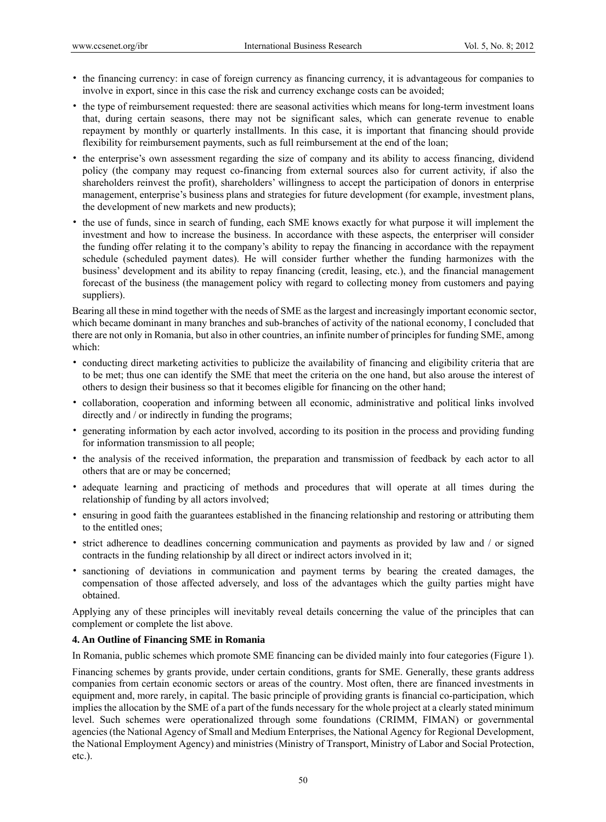- the financing currency: in case of foreign currency as financing currency, it is advantageous for companies to involve in export, since in this case the risk and currency exchange costs can be avoided;
- the type of reimbursement requested: there are seasonal activities which means for long-term investment loans that, during certain seasons, there may not be significant sales, which can generate revenue to enable repayment by monthly or quarterly installments. In this case, it is important that financing should provide flexibility for reimbursement payments, such as full reimbursement at the end of the loan;
- the enterprise's own assessment regarding the size of company and its ability to access financing, dividend policy (the company may request co-financing from external sources also for current activity, if also the shareholders reinvest the profit), shareholders' willingness to accept the participation of donors in enterprise management, enterprise's business plans and strategies for future development (for example, investment plans, the development of new markets and new products);
- the use of funds, since in search of funding, each SME knows exactly for what purpose it will implement the investment and how to increase the business. In accordance with these aspects, the enterpriser will consider the funding offer relating it to the company's ability to repay the financing in accordance with the repayment schedule (scheduled payment dates). He will consider further whether the funding harmonizes with the business' development and its ability to repay financing (credit, leasing, etc.), and the financial management forecast of the business (the management policy with regard to collecting money from customers and paying suppliers).

Bearing all these in mind together with the needs of SME as the largest and increasingly important economic sector, which became dominant in many branches and sub-branches of activity of the national economy, I concluded that there are not only in Romania, but also in other countries, an infinite number of principles for funding SME, among which:

- conducting direct marketing activities to publicize the availability of financing and eligibility criteria that are to be met; thus one can identify the SME that meet the criteria on the one hand, but also arouse the interest of others to design their business so that it becomes eligible for financing on the other hand;
- collaboration, cooperation and informing between all economic, administrative and political links involved directly and / or indirectly in funding the programs;
- generating information by each actor involved, according to its position in the process and providing funding for information transmission to all people;
- the analysis of the received information, the preparation and transmission of feedback by each actor to all others that are or may be concerned;
- adequate learning and practicing of methods and procedures that will operate at all times during the relationship of funding by all actors involved;
- ensuring in good faith the guarantees established in the financing relationship and restoring or attributing them to the entitled ones;
- strict adherence to deadlines concerning communication and payments as provided by law and / or signed contracts in the funding relationship by all direct or indirect actors involved in it;
- sanctioning of deviations in communication and payment terms by bearing the created damages, the compensation of those affected adversely, and loss of the advantages which the guilty parties might have obtained.

Applying any of these principles will inevitably reveal details concerning the value of the principles that can complement or complete the list above.

# **4. An Outline of Financing SME in Romania**

In Romania, public schemes which promote SME financing can be divided mainly into four categories (Figure 1).

Financing schemes by grants provide, under certain conditions, grants for SME. Generally, these grants address companies from certain economic sectors or areas of the country. Most often, there are financed investments in equipment and, more rarely, in capital. The basic principle of providing grants is financial co-participation, which implies the allocation by the SME of a part of the funds necessary for the whole project at a clearly stated minimum level. Such schemes were operationalized through some foundations (CRIMM, FIMAN) or governmental agencies (the National Agency of Small and Medium Enterprises, the National Agency for Regional Development, the National Employment Agency) and ministries (Ministry of Transport, Ministry of Labor and Social Protection, etc.).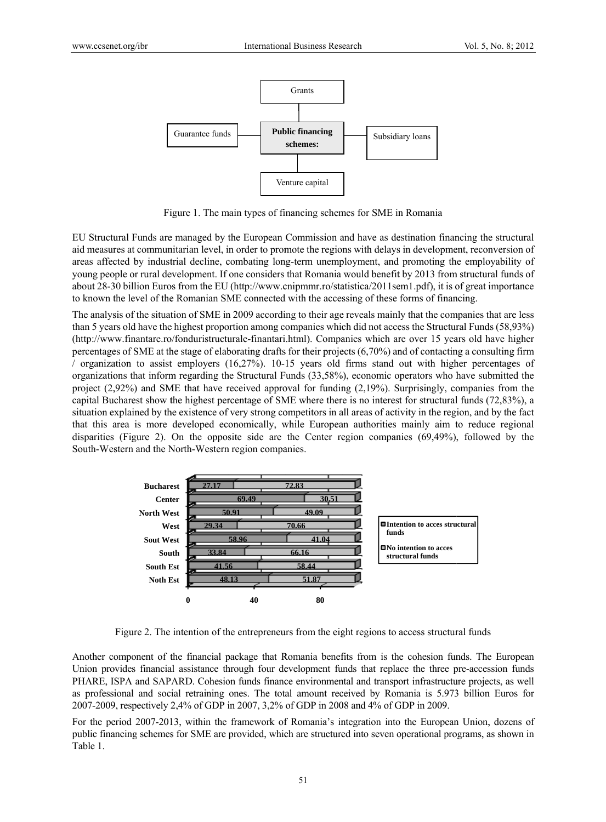

Figure 1. The main types of financing schemes for SME in Romania

EU Structural Funds are managed by the European Commission and have as destination financing the structural aid measures at communitarian level, in order to promote the regions with delays in development, reconversion of areas affected by industrial decline, combating long-term unemployment, and promoting the employability of young people or rural development. If one considers that Romania would benefit by 2013 from structural funds of about 28-30 billion Euros from the EU (http://www.cnipmmr.ro/statistica/2011sem1.pdf), it is of great importance to known the level of the Romanian SME connected with the accessing of these forms of financing.

The analysis of the situation of SME in 2009 according to their age reveals mainly that the companies that are less than 5 years old have the highest proportion among companies which did not access the Structural Funds (58,93%) (http://www.finantare.ro/fonduristructurale-finantari.html). Companies which are over 15 years old have higher percentages of SME at the stage of elaborating drafts for their projects (6,70%) and of contacting a consulting firm / organization to assist employers (16,27%). 10-15 years old firms stand out with higher percentages of organizations that inform regarding the Structural Funds (33,58%), economic operators who have submitted the project  $(2,92\%)$  and SME that have received approval for funding  $(2,19\%)$ . Surprisingly, companies from the capital Bucharest show the highest percentage of SME where there is no interest for structural funds (72,83%), a situation explained by the existence of very strong competitors in all areas of activity in the region, and by the fact that this area is more developed economically, while European authorities mainly aim to reduce regional disparities (Figure 2). On the opposite side are the Center region companies (69,49%), followed by the South-Western and the North-Western region companies.

| <b>Bucharest</b>  | 27.17      | 72.83 |                                                  |
|-------------------|------------|-------|--------------------------------------------------|
| <b>Center</b>     | 69.49      | 30.51 |                                                  |
| <b>North West</b> | 50.91      | 49.09 |                                                  |
| West              | 29.34      | 70.66 | <b>■Intention to acces structural</b><br>funds   |
| <b>Sout West</b>  | 58.96<br>b | 41.04 |                                                  |
| South             | 33.84      | 66.16 | $\Box$ No intention to acces<br>structural funds |
| <b>South Est</b>  | 41.56<br>¢ | 58.44 |                                                  |
| <b>Noth Est</b>   | 48.13      | 51.87 |                                                  |
|                   |            |       |                                                  |
|                   | 0<br>40    | 80    |                                                  |

Figure 2. The intention of the entrepreneurs from the eight regions to access structural funds

Another component of the financial package that Romania benefits from is the cohesion funds. The European Union provides financial assistance through four development funds that replace the three pre-accession funds PHARE, ISPA and SAPARD. Cohesion funds finance environmental and transport infrastructure projects, as well as professional and social retraining ones. The total amount received by Romania is 5.973 billion Euros for 2007-2009, respectively 2,4% of GDP in 2007, 3,2% of GDP in 2008 and 4% of GDP in 2009.

For the period 2007-2013, within the framework of Romania's integration into the European Union, dozens of public financing schemes for SME are provided, which are structured into seven operational programs, as shown in Table 1.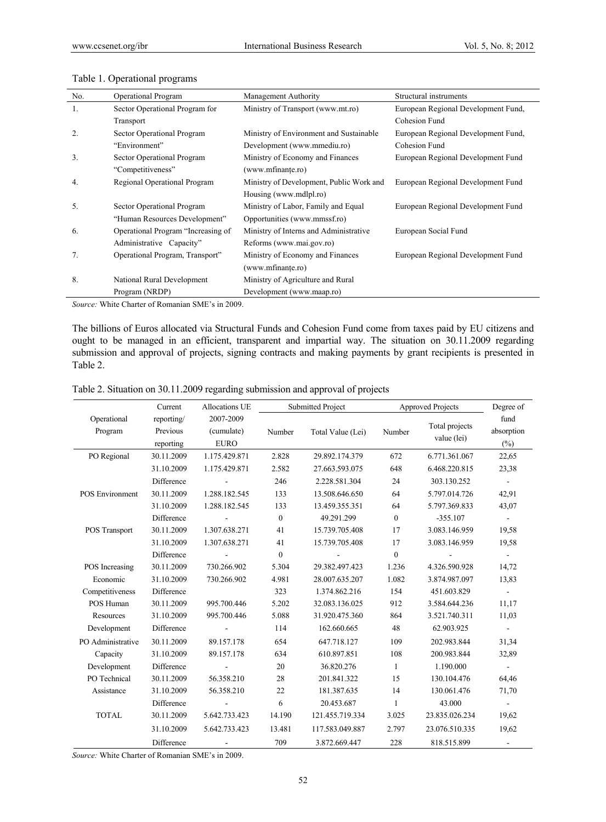| No.            | <b>Operational Program</b>         | Management Authority                     | Structural instruments              |
|----------------|------------------------------------|------------------------------------------|-------------------------------------|
| 1.             | Sector Operational Program for     | Ministry of Transport (www.mt.ro)        | European Regional Development Fund, |
|                | Transport                          |                                          | Cohesion Fund                       |
| 2.             | Sector Operational Program         | Ministry of Environment and Sustainable  | European Regional Development Fund, |
|                | "Environment"                      | Development (www.mmediu.ro)              | Cohesion Fund                       |
| 3 <sub>1</sub> | Sector Operational Program         | Ministry of Economy and Finances         | European Regional Development Fund  |
|                | "Competitiveness"                  | (www.mfinante.ro)                        |                                     |
| 4.             | Regional Operational Program       | Ministry of Development, Public Work and | European Regional Development Fund  |
|                |                                    | Housing (www.mdlpl.ro)                   |                                     |
| 5.             | Sector Operational Program         | Ministry of Labor, Family and Equal      | European Regional Development Fund  |
|                | "Human Resources Development"      | Opportunities (www.mmssf.ro)             |                                     |
| 6.             | Operational Program "Increasing of | Ministry of Interns and Administrative   | European Social Fund                |
|                | Administrative Capacity"           | Reforms (www.mai.gov.ro)                 |                                     |
| 7.             | Operational Program, Transport"    | Ministry of Economy and Finances         | European Regional Development Fund  |
|                |                                    | (www.mfinante.ro)                        |                                     |
| 8.             | National Rural Development         | Ministry of Agriculture and Rural        |                                     |
|                | Program (NRDP)                     | Development (www.maap.ro)                |                                     |

#### Table 1. Operational programs

*Source:* White Charter of Romanian SME's in 2009.

The billions of Euros allocated via Structural Funds and Cohesion Fund come from taxes paid by EU citizens and ought to be managed in an efficient, transparent and impartial way. The situation on 30.11.2009 regarding submission and approval of projects, signing contracts and making payments by grant recipients is presented in Table 2.

| Table 2. Situation on 30.11.2009 regarding submission and approval of projects |  |  |  |
|--------------------------------------------------------------------------------|--|--|--|
|                                                                                |  |  |  |

|                        | Current                             | Allocations UE                         |              | <b>Submitted Project</b> |              | <b>Approved Projects</b>      | Degree of<br>fund<br>absorption<br>$(\%)$ |  |
|------------------------|-------------------------------------|----------------------------------------|--------------|--------------------------|--------------|-------------------------------|-------------------------------------------|--|
| Operational<br>Program | reporting/<br>Previous<br>reporting | 2007-2009<br>(cumulate)<br><b>EURO</b> | Number       | Total Value (Lei)        | Number       | Total projects<br>value (lei) |                                           |  |
| PO Regional            | 30.11.2009                          | 1.175.429.871                          | 2.828        | 29.892.174.379           | 672          | 6.771.361.067                 | 22,65                                     |  |
|                        | 31.10.2009                          | 1.175.429.871                          | 2.582        | 27.663.593.075           | 648          | 6.468.220.815                 | 23,38                                     |  |
|                        | Difference                          |                                        | 246          | 2.228.581.304            | 24           | 303.130.252                   |                                           |  |
| <b>POS Environment</b> | 30.11.2009                          | 1.288.182.545                          | 133          | 13.508.646.650           | 64           | 5.797.014.726                 | 42,91                                     |  |
|                        | 31.10.2009                          | 1.288.182.545                          | 133          | 13.459.355.351           | 64           | 5.797.369.833                 | 43,07                                     |  |
|                        | Difference                          |                                        | $\mathbf{0}$ | 49.291.299               | $\mathbf{0}$ | $-355.107$                    | $\blacksquare$                            |  |
| POS Transport          | 30.11.2009                          | 1.307.638.271                          | 41           | 15.739.705.408           | 17           | 3.083.146.959                 | 19,58                                     |  |
|                        | 31.10.2009                          | 1.307.638.271                          | 41           | 15.739.705.408           | 17           | 3.083.146.959                 | 19,58                                     |  |
|                        | Difference                          |                                        | $\theta$     |                          | $\mathbf{0}$ |                               |                                           |  |
| POS Increasing         | 30.11.2009                          | 730.266.902                            | 5.304        | 29.382.497.423<br>1.236  |              | 4.326.590.928                 | 14,72                                     |  |
| Economic               | 31.10.2009                          | 730.266.902                            | 4.981        | 28.007.635.207           | 1.082        | 3.874.987.097                 | 13,83                                     |  |
| Competitiveness        | Difference                          |                                        | 323          | 1.374.862.216            | 154          | 451.603.829                   | $\blacksquare$                            |  |
| POS Human              | 30.11.2009                          | 995.700.446                            | 5.202        | 32.083.136.025           | 912          | 3.584.644.236                 | 11,17                                     |  |
| Resources              | 31.10.2009                          | 995.700.446                            | 5.088        | 31.920.475.360           | 864          | 3.521.740.311                 | 11,03                                     |  |
| Development            | Difference                          |                                        | 114          | 162.660.665              | 48           | 62.903.925                    |                                           |  |
| PO Administrative      | 30.11.2009                          | 89.157.178                             | 654          | 647.718.127              | 109          | 202.983.844                   | 31,34                                     |  |
| Capacity               | 31.10.2009                          | 89.157.178                             | 634          | 610.897.851              | 108          | 200.983.844                   | 32,89                                     |  |
| Development            | Difference                          |                                        | 20           | 36.820.276               | $\mathbf{1}$ | 1.190.000                     |                                           |  |
| PO Technical           | 30.11.2009                          | 56.358.210                             | 28           | 201.841.322              | 15           | 130.104.476                   | 64,46                                     |  |
| Assistance             | 31.10.2009                          | 56.358.210                             | 22           | 181.387.635              | 14           | 130.061.476                   | 71,70                                     |  |
|                        | Difference                          |                                        | 6            | 20.453.687               | 1            | 43.000                        |                                           |  |
| <b>TOTAL</b>           | 30.11.2009                          | 5.642.733.423                          | 14.190       | 121.455.719.334          | 3.025        | 23.835.026.234                | 19,62                                     |  |
|                        | 31.10.2009                          | 5.642.733.423                          | 13.481       | 117.583.049.887          | 2.797        | 23.076.510.335                | 19,62                                     |  |
|                        | Difference                          |                                        | 709          | 3.872.669.447            | 228          | 818.515.899                   |                                           |  |

*Source:* White Charter of Romanian SME's in 2009.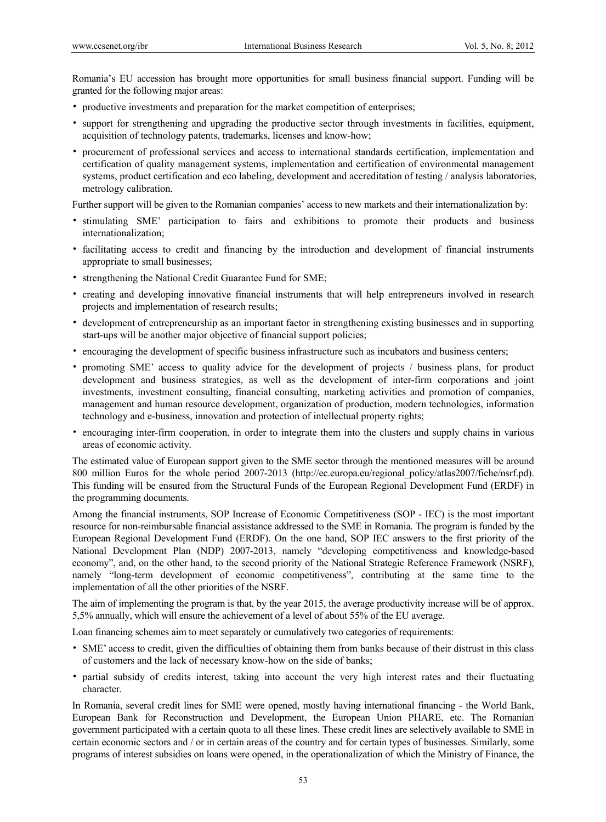Romania's EU accession has brought more opportunities for small business financial support. Funding will be granted for the following major areas:

- productive investments and preparation for the market competition of enterprises;
- support for strengthening and upgrading the productive sector through investments in facilities, equipment, acquisition of technology patents, trademarks, licenses and know-how;
- procurement of professional services and access to international standards certification, implementation and certification of quality management systems, implementation and certification of environmental management systems, product certification and eco labeling, development and accreditation of testing / analysis laboratories, metrology calibration.

Further support will be given to the Romanian companies' access to new markets and their internationalization by:

- stimulating SME' participation to fairs and exhibitions to promote their products and business internationalization;
- facilitating access to credit and financing by the introduction and development of financial instruments appropriate to small businesses;
- strengthening the National Credit Guarantee Fund for SME;
- creating and developing innovative financial instruments that will help entrepreneurs involved in research projects and implementation of research results;
- development of entrepreneurship as an important factor in strengthening existing businesses and in supporting start-ups will be another major objective of financial support policies;
- encouraging the development of specific business infrastructure such as incubators and business centers;
- promoting SME' access to quality advice for the development of projects / business plans, for product development and business strategies, as well as the development of inter-firm corporations and joint investments, investment consulting, financial consulting, marketing activities and promotion of companies, management and human resource development, organization of production, modern technologies, information technology and e-business, innovation and protection of intellectual property rights;
- encouraging inter-firm cooperation, in order to integrate them into the clusters and supply chains in various areas of economic activity.

The estimated value of European support given to the SME sector through the mentioned measures will be around 800 million Euros for the whole period 2007-2013 (http://ec.europa.eu/regional\_policy/atlas2007/fiche/nsrf.pd). This funding will be ensured from the Structural Funds of the European Regional Development Fund (ERDF) in the programming documents.

Among the financial instruments, SOP Increase of Economic Competitiveness (SOP - IEC) is the most important resource for non-reimbursable financial assistance addressed to the SME in Romania. The program is funded by the European Regional Development Fund (ERDF). On the one hand, SOP IEC answers to the first priority of the National Development Plan (NDP) 2007-2013, namely "developing competitiveness and knowledge-based economy", and, on the other hand, to the second priority of the National Strategic Reference Framework (NSRF), namely "long-term development of economic competitiveness", contributing at the same time to the implementation of all the other priorities of the NSRF.

The aim of implementing the program is that, by the year 2015, the average productivity increase will be of approx. 5,5% annually, which will ensure the achievement of a level of about 55% of the EU average.

Loan financing schemes aim to meet separately or cumulatively two categories of requirements:

- SME' access to credit, given the difficulties of obtaining them from banks because of their distrust in this class of customers and the lack of necessary know-how on the side of banks;
- partial subsidy of credits interest, taking into account the very high interest rates and their fluctuating character.

In Romania, several credit lines for SME were opened, mostly having international financing - the World Bank, European Bank for Reconstruction and Development, the European Union PHARE, etc. The Romanian government participated with a certain quota to all these lines. These credit lines are selectively available to SME in certain economic sectors and / or in certain areas of the country and for certain types of businesses. Similarly, some programs of interest subsidies on loans were opened, in the operationalization of which the Ministry of Finance, the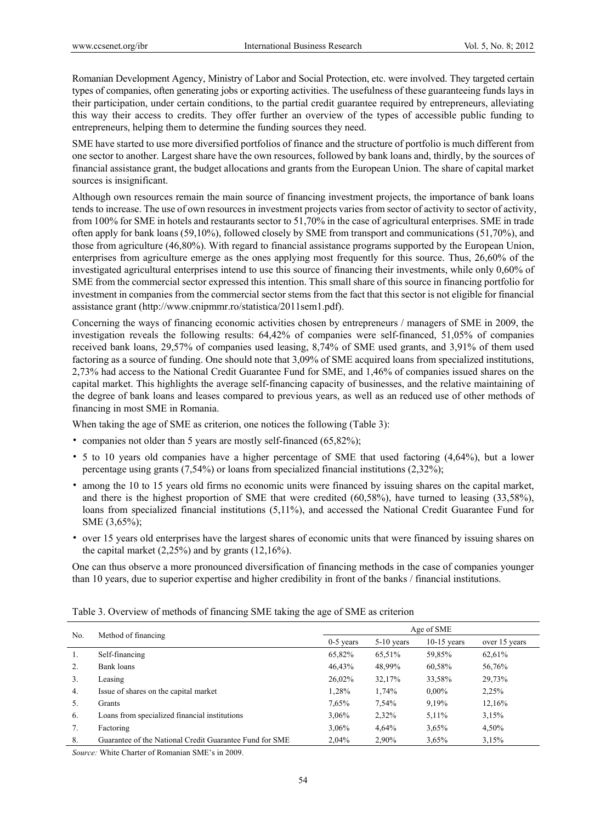Romanian Development Agency, Ministry of Labor and Social Protection, etc. were involved. They targeted certain types of companies, often generating jobs or exporting activities. The usefulness of these guaranteeing funds lays in their participation, under certain conditions, to the partial credit guarantee required by entrepreneurs, alleviating this way their access to credits. They offer further an overview of the types of accessible public funding to entrepreneurs, helping them to determine the funding sources they need.

SME have started to use more diversified portfolios of finance and the structure of portfolio is much different from one sector to another. Largest share have the own resources, followed by bank loans and, thirdly, by the sources of financial assistance grant, the budget allocations and grants from the European Union. The share of capital market sources is insignificant.

Although own resources remain the main source of financing investment projects, the importance of bank loans tends to increase. The use of own resources in investment projects varies from sector of activity to sector of activity, from 100% for SME in hotels and restaurants sector to 51,70% in the case of agricultural enterprises. SME in trade often apply for bank loans (59,10%), followed closely by SME from transport and communications (51,70%), and those from agriculture (46,80%). With regard to financial assistance programs supported by the European Union, enterprises from agriculture emerge as the ones applying most frequently for this source. Thus, 26,60% of the investigated agricultural enterprises intend to use this source of financing their investments, while only 0,60% of SME from the commercial sector expressed this intention. This small share of this source in financing portfolio for investment in companies from the commercial sector stems from the fact that this sector is not eligible for financial assistance grant (http://www.cnipmmr.ro/statistica/2011sem1.pdf).

Concerning the ways of financing economic activities chosen by entrepreneurs / managers of SME in 2009, the investigation reveals the following results: 64,42% of companies were self-financed, 51,05% of companies received bank loans, 29,57% of companies used leasing, 8,74% of SME used grants, and 3,91% of them used factoring as a source of funding. One should note that 3,09% of SME acquired loans from specialized institutions, 2,73% had access to the National Credit Guarantee Fund for SME, and 1,46% of companies issued shares on the capital market. This highlights the average self-financing capacity of businesses, and the relative maintaining of the degree of bank loans and leases compared to previous years, as well as an reduced use of other methods of financing in most SME in Romania.

When taking the age of SME as criterion, one notices the following (Table 3):

- companies not older than 5 years are mostly self-financed (65,82%);
- 5 to 10 years old companies have a higher percentage of SME that used factoring (4,64%), but a lower percentage using grants (7,54%) or loans from specialized financial institutions (2,32%);
- among the 10 to 15 years old firms no economic units were financed by issuing shares on the capital market, and there is the highest proportion of SME that were credited (60,58%), have turned to leasing (33,58%), loans from specialized financial institutions (5,11%), and accessed the National Credit Guarantee Fund for SME (3,65%);
- over 15 years old enterprises have the largest shares of economic units that were financed by issuing shares on the capital market  $(2,25\%)$  and by grants  $(12,16\%)$ .

One can thus observe a more pronounced diversification of financing methods in the case of companies younger than 10 years, due to superior expertise and higher credibility in front of the banks / financial institutions.

| No.            |                                                         | Age of SME  |              |               |               |  |  |
|----------------|---------------------------------------------------------|-------------|--------------|---------------|---------------|--|--|
|                | Method of financing                                     | $0-5$ years | $5-10$ years | $10-15$ years | over 15 years |  |  |
| 1.             | Self-financing                                          | 65,82%      | 65,51%       | 59,85%        | 62,61%        |  |  |
| 2.             | Bank loans                                              | 46,43%      | 48,99%       | 60,58%        | 56,76%        |  |  |
| 3 <sub>1</sub> | Leasing                                                 | 26,02%      | 32,17%       | 33,58%        | 29,73%        |  |  |
| 4.             | Issue of shares on the capital market                   | 1,28%       | 1,74%        | $0.00\%$      | 2,25%         |  |  |
| 5.             | Grants                                                  | 7,65%       | 7.54%        | 9,19%         | 12,16%        |  |  |
| 6.             | Loans from specialized financial institutions           | 3,06%       | 2,32%        | $5,11\%$      | 3.15%         |  |  |
| 7.             | Factoring                                               | 3,06%       | 4,64%        | 3,65%         | 4,50%         |  |  |
| 8.             | Guarantee of the National Credit Guarantee Fund for SME | 2,04%       | 2,90%        | 3,65%         | 3.15%         |  |  |

Table 3. Overview of methods of financing SME taking the age of SME as criterion

*Source:* White Charter of Romanian SME's in 2009.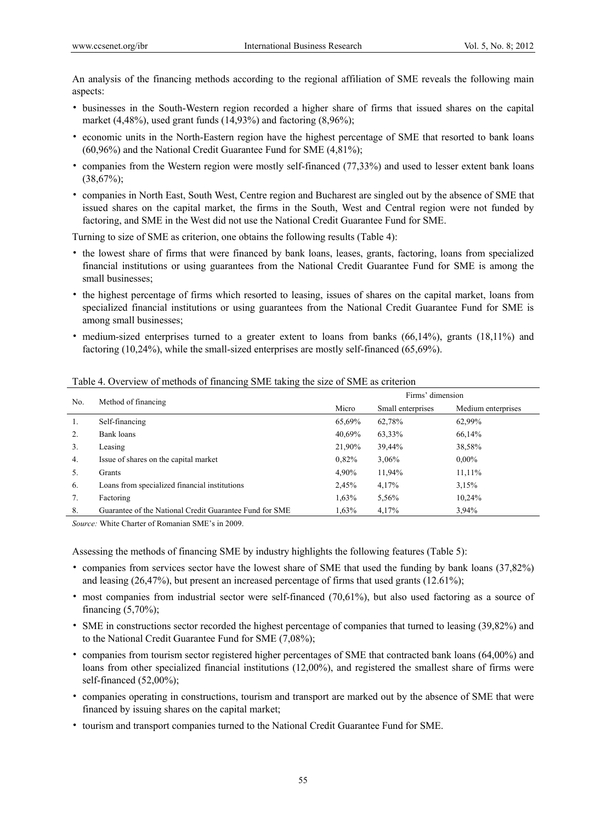An analysis of the financing methods according to the regional affiliation of SME reveals the following main aspects:

- businesses in the South-Western region recorded a higher share of firms that issued shares on the capital market (4,48%), used grant funds (14,93%) and factoring (8,96%);
- economic units in the North-Eastern region have the highest percentage of SME that resorted to bank loans (60,96%) and the National Credit Guarantee Fund for SME (4,81%);
- companies from the Western region were mostly self-financed (77,33%) and used to lesser extent bank loans  $(38,67\%)$ ;
- companies in North East, South West, Centre region and Bucharest are singled out by the absence of SME that issued shares on the capital market, the firms in the South, West and Central region were not funded by factoring, and SME in the West did not use the National Credit Guarantee Fund for SME.

Turning to size of SME as criterion, one obtains the following results (Table 4):

- the lowest share of firms that were financed by bank loans, leases, grants, factoring, loans from specialized financial institutions or using guarantees from the National Credit Guarantee Fund for SME is among the small businesses;
- the highest percentage of firms which resorted to leasing, issues of shares on the capital market, loans from specialized financial institutions or using guarantees from the National Credit Guarantee Fund for SME is among small businesses;
- medium-sized enterprises turned to a greater extent to loans from banks (66,14%), grants (18,11%) and factoring (10,24%), while the small-sized enterprises are mostly self-financed (65,69%).

| No. | Method of financing                                     | Firms' dimension |                   |                    |  |  |
|-----|---------------------------------------------------------|------------------|-------------------|--------------------|--|--|
|     |                                                         |                  | Small enterprises | Medium enterprises |  |  |
| 1.  | Self-financing                                          | 65,69%           | 62,78%            | 62,99%             |  |  |
| 2.  | Bank loans                                              | 40,69%           | 63,33%            | 66,14%             |  |  |
| 3.  | Leasing                                                 | 21,90%           | 39,44%            | 38,58%             |  |  |
| 4.  | Issue of shares on the capital market                   | 0.82%            | 3,06%             | $0.00\%$           |  |  |
| 5.  | Grants                                                  | 4,90%            | 11,94%            | 11,11%             |  |  |
| 6.  | Loans from specialized financial institutions           | 2,45%            | 4,17%             | 3,15%              |  |  |
| 7.  | Factoring                                               | 1,63%            | 5,56%             | 10,24%             |  |  |
| 8.  | Guarantee of the National Credit Guarantee Fund for SME | 1,63%            | 4.17%             | 3.94%              |  |  |

## Table 4. Overview of methods of financing SME taking the size of SME as criterion

*Source:* White Charter of Romanian SME's in 2009.

Assessing the methods of financing SME by industry highlights the following features (Table 5):

- companies from services sector have the lowest share of SME that used the funding by bank loans (37,82%) and leasing (26,47%), but present an increased percentage of firms that used grants (12.61%);
- most companies from industrial sector were self-financed (70,61%), but also used factoring as a source of financing  $(5,70\%)$ ;
- SME in constructions sector recorded the highest percentage of companies that turned to leasing (39,82%) and to the National Credit Guarantee Fund for SME (7,08%);
- companies from tourism sector registered higher percentages of SME that contracted bank loans (64,00%) and loans from other specialized financial institutions (12,00%), and registered the smallest share of firms were self-financed  $(52,00\%)$ ;
- companies operating in constructions, tourism and transport are marked out by the absence of SME that were financed by issuing shares on the capital market;
- tourism and transport companies turned to the National Credit Guarantee Fund for SME.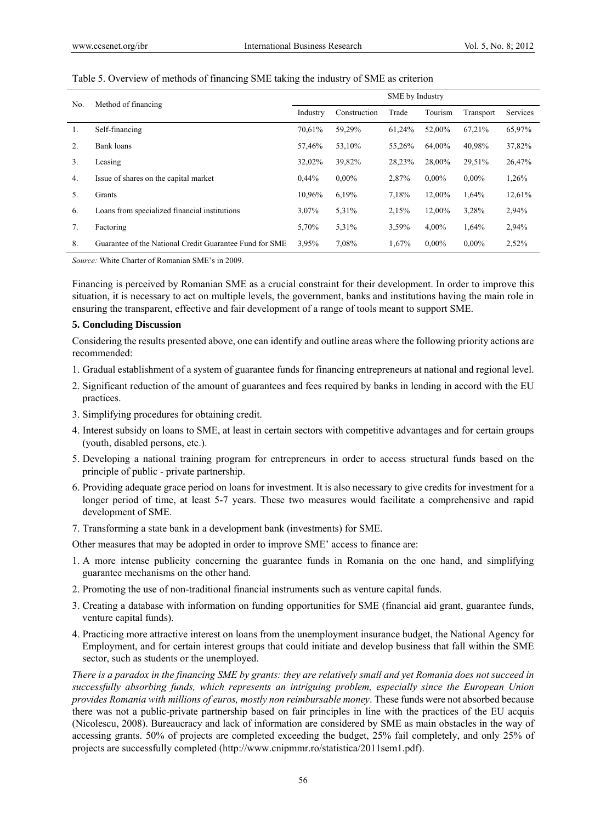| No. | Method of financing                                     | SME by Industry |              |        |          |           |          |  |
|-----|---------------------------------------------------------|-----------------|--------------|--------|----------|-----------|----------|--|
|     |                                                         | Industry        | Construction | Trade  | Tourism  | Transport | Services |  |
| 1.  | Self-financing                                          | 70,61%          | 59,29%       | 61,24% | 52,00%   | 67,21%    | 65,97%   |  |
| 2.  | Bank loans                                              | 57,46%          | 53,10%       | 55,26% | 64.00%   | 40,98%    | 37,82%   |  |
| 3.  | Leasing                                                 | 32,02%          | 39,82%       | 28,23% | 28,00%   | 29,51%    | 26,47%   |  |
| 4.  | Issue of shares on the capital market                   | $0.44\%$        | $0.00\%$     | 2,87%  | $0.00\%$ | $0.00\%$  | 1,26%    |  |
| 5.  | Grants                                                  | 10,96%          | 6,19%        | 7,18%  | 12,00%   | 1,64%     | 12,61%   |  |
| 6.  | Loans from specialized financial institutions           | 3,07%           | 5,31%        | 2,15%  | 12,00%   | 3,28%     | 2,94%    |  |
| 7.  | Factoring                                               | 5,70%           | 5,31%        | 3,59%  | 4,00%    | 1,64%     | 2,94%    |  |
| 8.  | Guarantee of the National Credit Guarantee Fund for SME | 3,95%           | 7,08%        | 1,67%  | $0.00\%$ | $0.00\%$  | 2,52%    |  |

#### Table 5. Overview of methods of financing SME taking the industry of SME as criterion

*Source:* White Charter of Romanian SME's in 2009.

Financing is perceived by Romanian SME as a crucial constraint for their development. In order to improve this situation, it is necessary to act on multiple levels, the government, banks and institutions having the main role in ensuring the transparent, effective and fair development of a range of tools meant to support SME.

#### **5. Concluding Discussion**

Considering the results presented above, one can identify and outline areas where the following priority actions are recommended:

- 1. Gradual establishment of a system of guarantee funds for financing entrepreneurs at national and regional level.
- 2. Significant reduction of the amount of guarantees and fees required by banks in lending in accord with the EU practices.
- 3. Simplifying procedures for obtaining credit.
- 4. Interest subsidy on loans to SME, at least in certain sectors with competitive advantages and for certain groups (youth, disabled persons, etc.).
- 5. Developing a national training program for entrepreneurs in order to access structural funds based on the principle of public - private partnership.
- 6. Providing adequate grace period on loans for investment. It is also necessary to give credits for investment for a longer period of time, at least 5-7 years. These two measures would facilitate a comprehensive and rapid development of SME.
- 7. Transforming a state bank in a development bank (investments) for SME.

Other measures that may be adopted in order to improve SME' access to finance are:

- 1. A more intense publicity concerning the guarantee funds in Romania on the one hand, and simplifying guarantee mechanisms on the other hand.
- 2. Promoting the use of non-traditional financial instruments such as venture capital funds.
- 3. Creating a database with information on funding opportunities for SME (financial aid grant, guarantee funds, venture capital funds).
- 4. Practicing more attractive interest on loans from the unemployment insurance budget, the National Agency for Employment, and for certain interest groups that could initiate and develop business that fall within the SME sector, such as students or the unemployed.

*There is a paradox in the financing SME by grants: they are relatively small and yet Romania does not succeed in successfully absorbing funds, which represents an intriguing problem, especially since the European Union provides Romania with millions of euros, mostly non reimbursable money*. These funds were not absorbed because there was not a public-private partnership based on fair principles in line with the practices of the EU acquis (Nicolescu, 2008). Bureaucracy and lack of information are considered by SME as main obstacles in the way of accessing grants. 50% of projects are completed exceeding the budget, 25% fail completely, and only 25% of projects are successfully completed (http://www.cnipmmr.ro/statistica/2011sem1.pdf).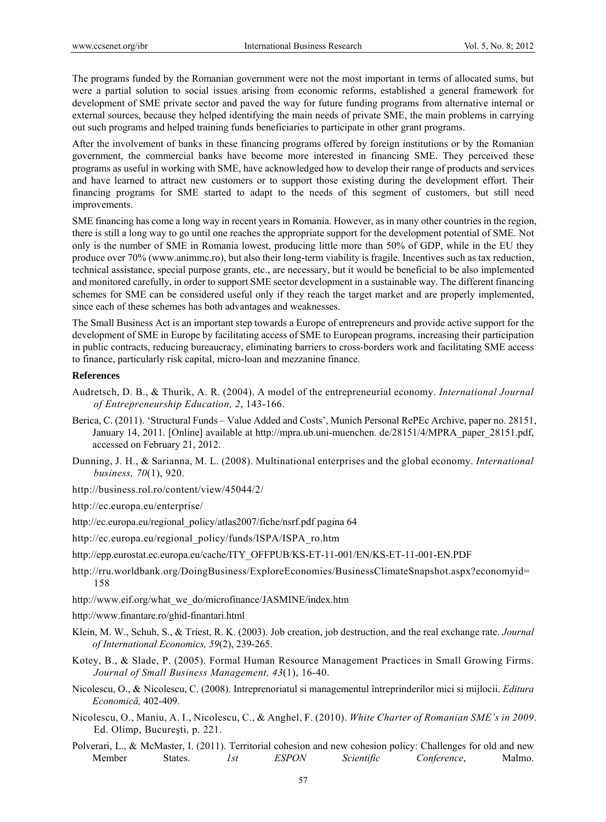The programs funded by the Romanian government were not the most important in terms of allocated sums, but were a partial solution to social issues arising from economic reforms, established a general framework for development of SME private sector and paved the way for future funding programs from alternative internal or external sources, because they helped identifying the main needs of private SME, the main problems in carrying out such programs and helped training funds beneficiaries to participate in other grant programs.

After the involvement of banks in these financing programs offered by foreign institutions or by the Romanian government, the commercial banks have become more interested in financing SME. They perceived these programs as useful in working with SME, have acknowledged how to develop their range of products and services and have learned to attract new customers or to support those existing during the development effort. Their financing programs for SME started to adapt to the needs of this segment of customers, but still need improvements.

SME financing has come a long way in recent years in Romania. However, as in many other countries in the region, there is still a long way to go until one reaches the appropriate support for the development potential of SME. Not only is the number of SME in Romania lowest, producing little more than 50% of GDP, while in the EU they produce over 70% (www.animmc.ro), but also their long-term viability is fragile. Incentives such as tax reduction, technical assistance, special purpose grants, etc., are necessary, but it would be beneficial to be also implemented and monitored carefully, in order to support SME sector development in a sustainable way. The different financing schemes for SME can be considered useful only if they reach the target market and are properly implemented, since each of these schemes has both advantages and weaknesses.

The Small Business Act is an important step towards a Europe of entrepreneurs and provide active support for the development of SME in Europe by facilitating access of SME to European programs, increasing their participation in public contracts, reducing bureaucracy, eliminating barriers to cross-borders work and facilitating SME access to finance, particularly risk capital, micro-loan and mezzanine finance.

# **References**

- Audretsch, D. B., & Thurik, A. R. (2004). A model of the entrepreneurial economy. *International Journal of Entrepreneurship Education, 2*, 143-166.
- Berica, C. (2011). 'Structural Funds Value Added and Costs', Munich Personal RePEc Archive, paper no. 28151, January 14, 2011. [Online] available at http://mpra.ub.uni-muenchen. de/28151/4/MPRA\_paper\_28151.pdf, accessed on February 21, 2012.
- Dunning, J. H., & Sarianna, M. L. (2008). Multinational enterprises and the global economy. *International business, 70*(1), 920.
- http://business.rol.ro/content/view/45044/2/
- http://ec.europa.eu/enterprise/
- http://ec.europa.eu/regional\_policy/atlas2007/fiche/nsrf.pdf pagina 64
- http://ec.europa.eu/regional\_policy/funds/ISPA/ISPA\_ro.htm
- http://epp.eurostat.ec.europa.eu/cache/ITY\_OFFPUB/KS-ET-11-001/EN/KS-ET-11-001-EN.PDF
- http://rru.worldbank.org/DoingBusiness/ExploreEconomies/BusinessClimateSnapshot.aspx?economyid= 158
- http://www.eif.org/what\_we\_do/microfinance/JASMINE/index.htm
- http://www.finantare.ro/ghid-finantari.html
- Klein, M. W., Schuh, S., & Triest, R. K. (2003). Job creation, job destruction, and the real exchange rate. *Journal of International Economics, 59*(2), 239-265.
- Kotey, B., & Slade, P. (2005). Formal Human Resource Management Practices in Small Growing Firms. *Journal of Small Business Management, 43*(1), 16-40.
- Nicolescu, O., & Nicolescu, C. (2008). Intreprenoriatul si managementul întreprinderilor mici si mijlocii. *Editura Economică,* 402-409.
- Nicolescu, O., Maniu, A. I., Nicolescu, C., & Anghel, F. (2010). *White Charter of Romanian SME's in 2009*. Ed. Olimp, Bucureşti, p. 221.
- Polverari, L., & McMaster, I. (2011). Territorial cohesion and new cohesion policy: Challenges for old and new Member States. *1st ESPON Scientific Conference*, Malmo.